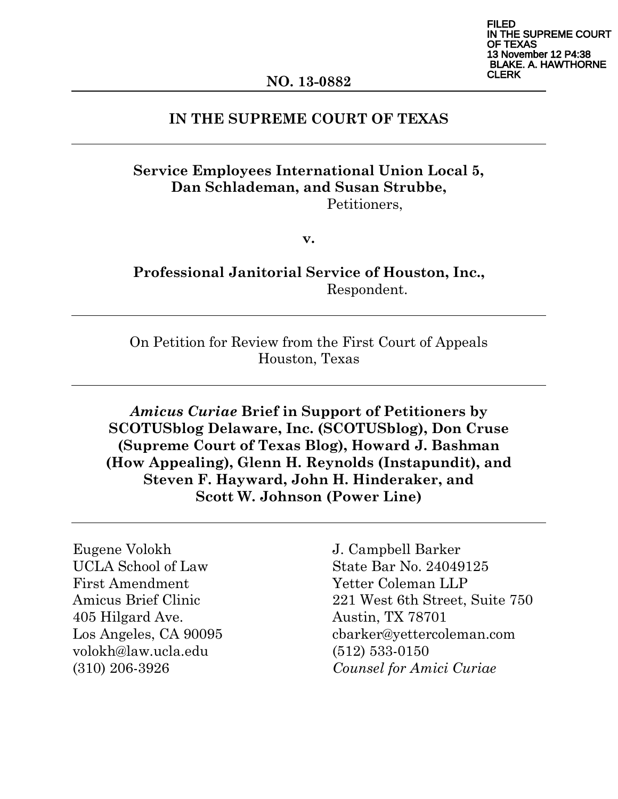FILED THE SUPREME COURT EXAS 13 November 12 P4:38 **AKE. A. HAWTHORNE** CLERK

### **IN THE SUPREME COURT OF TEXAS**

### **Service Employees International Union Local 5, Dan Schlademan, and Susan Strubbe,** Petitioners,

**v.**

**Professional Janitorial Service of Houston, Inc.,**  Respondent.

On Petition for Review from the First Court of Appeals Houston, Texas

*Amicus Curiae* **Brief in Support of Petitioners by SCOTUSblog Delaware, Inc. (SCOTUSblog), Don Cruse (Supreme Court of Texas Blog), Howard J. Bashman (How Appealing), Glenn H. Reynolds (Instapundit), and Steven F. Hayward, John H. Hinderaker, and Scott W. Johnson (Power Line)**

Eugene Volokh UCLA School of Law First Amendment Amicus Brief Clinic 405 Hilgard Ave. Los Angeles, CA 90095 volokh@law.ucla.edu (310) 206-3926

J. Campbell Barker State Bar No. 24049125 Yetter Coleman LLP 221 West 6th Street, Suite 750 Austin, TX 78701 cbarker@yettercoleman.com (512) 533-0150 *Counsel for Amici Curiae*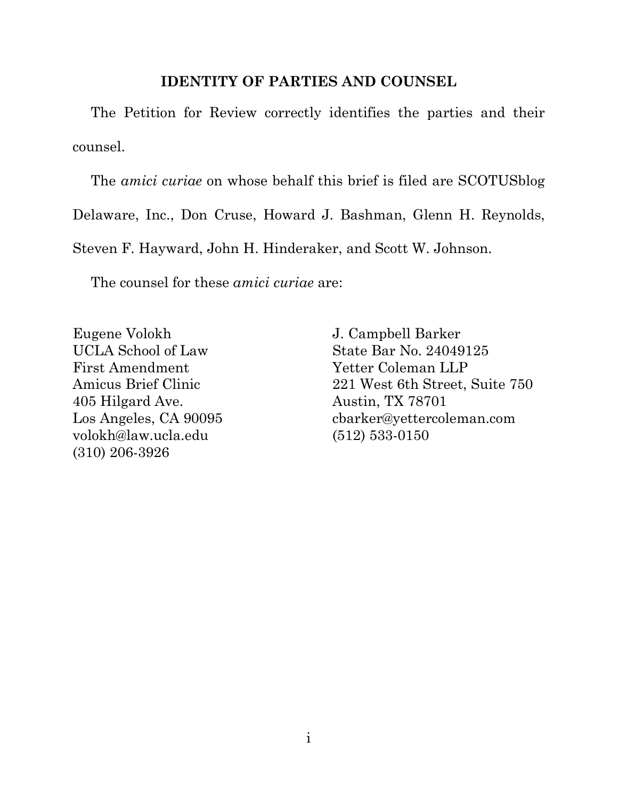### **IDENTITY OF PARTIES AND COUNSEL**

The Petition for Review correctly identifies the parties and their counsel.

The *amici curiae* on whose behalf this brief is filed are SCOTUSblog Delaware, Inc., Don Cruse, Howard J. Bashman, Glenn H. Reynolds, Steven F. Hayward, John H. Hinderaker, and Scott W. Johnson.

The counsel for these *amici curiae* are:

Eugene Volokh UCLA School of Law First Amendment Amicus Brief Clinic 405 Hilgard Ave. Los Angeles, CA 90095 volokh@law.ucla.edu (310) 206-3926

J. Campbell Barker State Bar No. 24049125 Yetter Coleman LLP 221 West 6th Street, Suite 750 Austin, TX 78701 cbarker@yettercoleman.com (512) 533-0150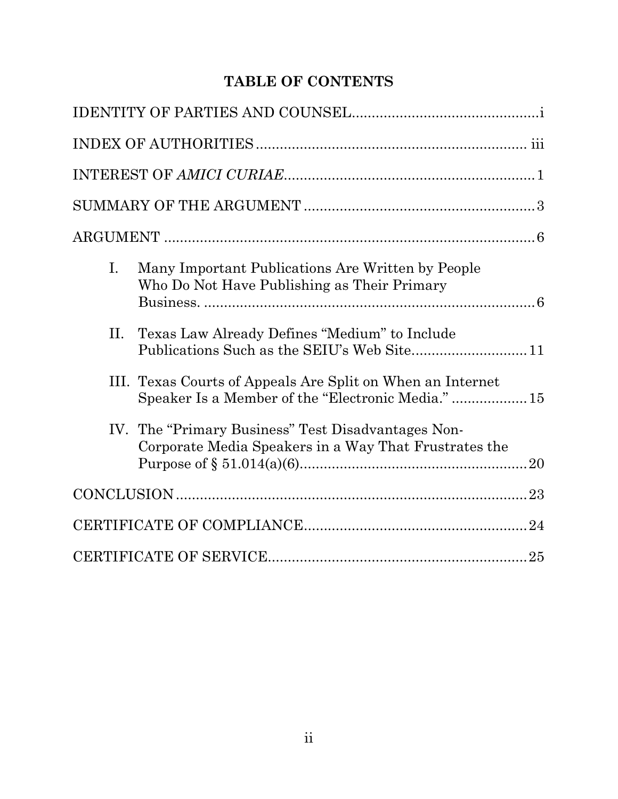# **TABLE OF CONTENTS**

| I. | Many Important Publications Are Written by People<br>Who Do Not Have Publishing as Their Primary                 |  |
|----|------------------------------------------------------------------------------------------------------------------|--|
| П. | Texas Law Already Defines "Medium" to Include                                                                    |  |
|    | III. Texas Courts of Appeals Are Split on When an Internet<br>Speaker Is a Member of the "Electronic Media."  15 |  |
|    | IV. The "Primary Business" Test Disadvantages Non-<br>Corporate Media Speakers in a Way That Frustrates the      |  |
|    |                                                                                                                  |  |
|    |                                                                                                                  |  |
|    |                                                                                                                  |  |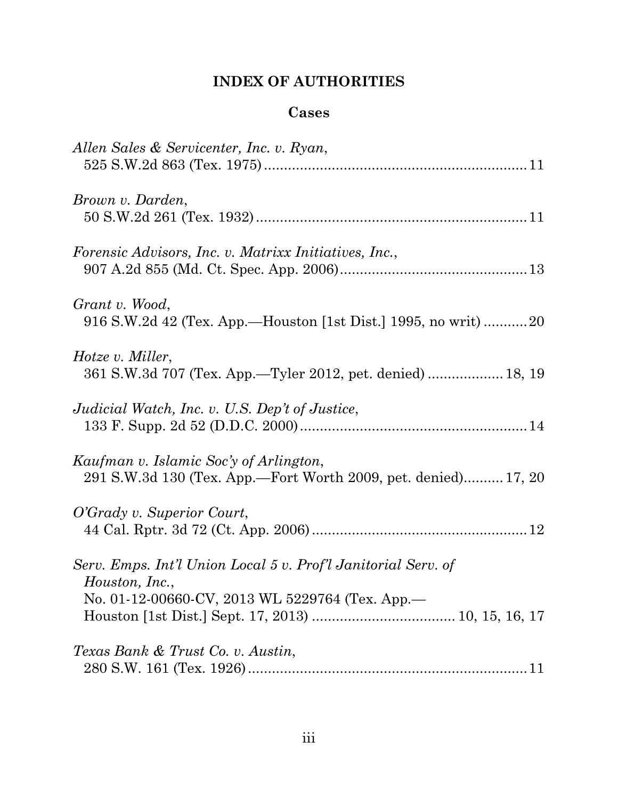# **INDEX OF AUTHORITIES**

# **Cases**

| Allen Sales & Servicenter, Inc. v. Ryan,                                                                                           |
|------------------------------------------------------------------------------------------------------------------------------------|
| Brown v. Darden,                                                                                                                   |
| Forensic Advisors, Inc. v. Matrixx Initiatives, Inc.,                                                                              |
| Grant v. Wood,<br>916 S.W.2d 42 (Tex. App.—Houston [1st Dist.] 1995, no writ) 20                                                   |
| Hotze v. Miller,<br>361 S.W.3d 707 (Tex. App.—Tyler 2012, pet. denied)  18, 19                                                     |
| Judicial Watch, Inc. v. U.S. Dep't of Justice,                                                                                     |
| Kaufman v. Islamic Soc'y of Arlington,<br>291 S.W.3d 130 (Tex. App.—Fort Worth 2009, pet. denied) 17, 20                           |
| O'Grady v. Superior Court,                                                                                                         |
| Serv. Emps. Int'l Union Local 5 v. Prof'l Janitorial Serv. of<br>Houston, Inc.,<br>No. 01-12-00660-CV, 2013 WL 5229764 (Tex. App.- |
| Texas Bank & Trust Co. v. Austin,                                                                                                  |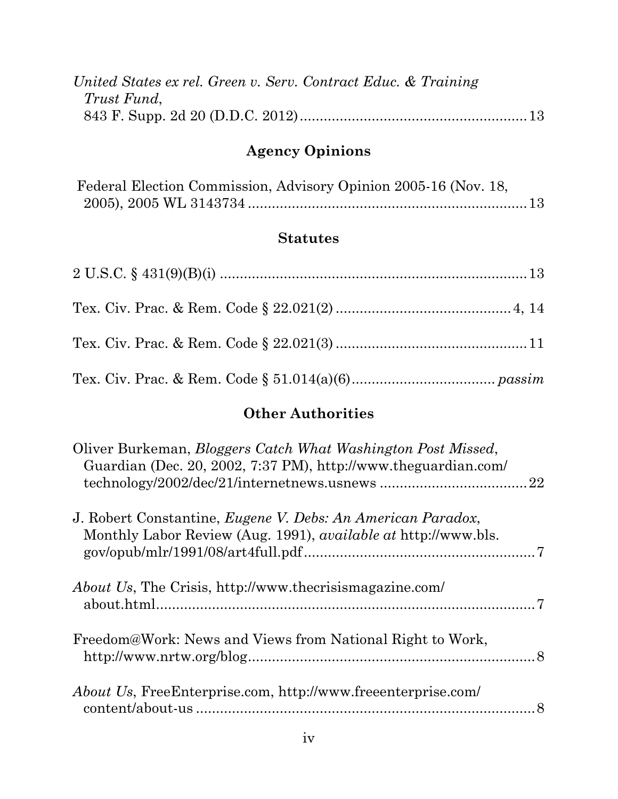| United States ex rel. Green v. Serv. Contract Educ. & Training |  |  |
|----------------------------------------------------------------|--|--|
| Trust Fund,                                                    |  |  |
|                                                                |  |  |

# **Agency Opinions**

|  | Federal Election Commission, Advisory Opinion 2005-16 (Nov. 18, |  |  |  |
|--|-----------------------------------------------------------------|--|--|--|
|  |                                                                 |  |  |  |

# **Statutes**

## **Other Authorities**

| Oliver Burkeman, <i>Bloggers Catch What Washington Post Missed</i> ,<br>Guardian (Dec. 20, 2002, 7:37 PM), http://www.theguardian.com/       |  |
|----------------------------------------------------------------------------------------------------------------------------------------------|--|
| J. Robert Constantine, <i>Eugene V. Debs: An American Paradox</i> ,<br>Monthly Labor Review (Aug. 1991), <i>available at http://www.bls.</i> |  |
| <i>About Us, The Crisis, http://www.thecrisismagazine.com/</i>                                                                               |  |
| Freedom@Work: News and Views from National Right to Work,                                                                                    |  |
| <i>About Us, FreeEnterprise.com, http://www.freeenterprise.com/</i>                                                                          |  |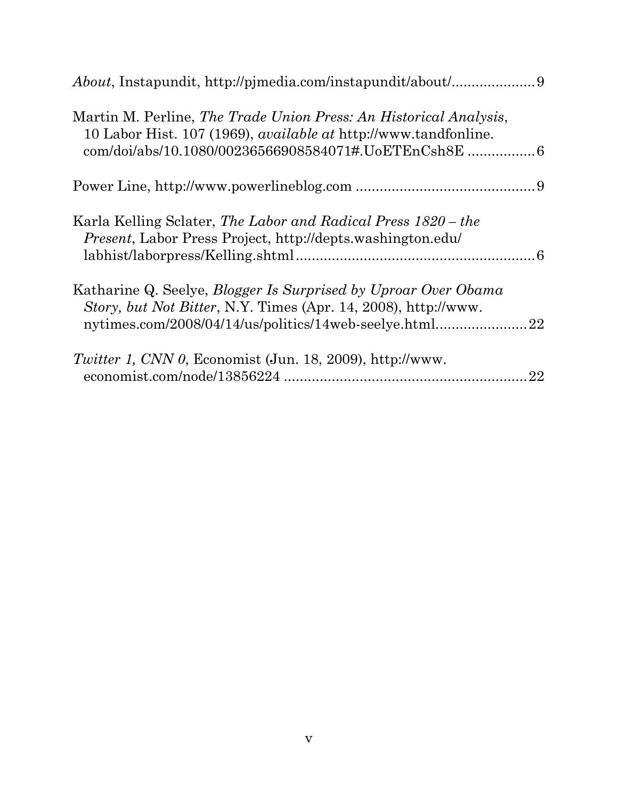| Martin M. Perline, The Trade Union Press: An Historical Analysis,<br>10 Labor Hist. 107 (1969), <i>available at http://www.tandfonline.</i><br>com/doi/abs/10.1080/00236566908584071#.UoETEnCsh8E  6 |    |
|------------------------------------------------------------------------------------------------------------------------------------------------------------------------------------------------------|----|
|                                                                                                                                                                                                      |    |
| Karla Kelling Sclater, The Labor and Radical Press 1820 – the<br><i>Present</i> , Labor Press Project, http://depts.washington.edu/                                                                  |    |
| Katharine Q. Seelye, <i>Blogger Is Surprised by Uproar Over Obama</i><br>Story, but Not Bitter, N.Y. Times (Apr. 14, 2008), http://www.<br>nytimes.com/2008/04/14/us/politics/14web-seelye.html      | 22 |
| <i>Twitter 1, CNN 0, Economist (Jun. 18, 2009), http://www.</i>                                                                                                                                      | 22 |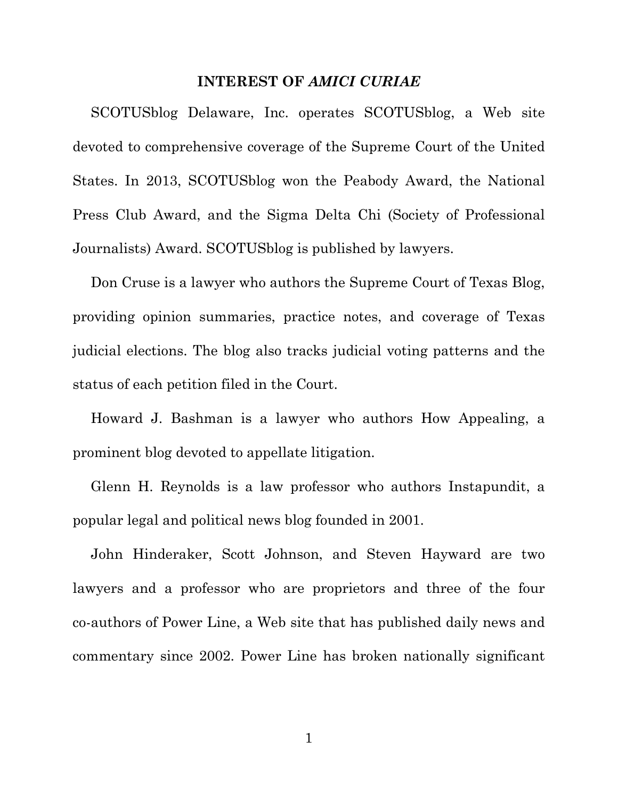#### **INTEREST OF** *AMICI CURIAE*

SCOTUSblog Delaware, Inc. operates SCOTUSblog, a Web site devoted to comprehensive coverage of the Supreme Court of the United States. In 2013, SCOTUSblog won the Peabody Award, the National Press Club Award, and the Sigma Delta Chi (Society of Professional Journalists) Award. SCOTUSblog is published by lawyers.

Don Cruse is a lawyer who authors the Supreme Court of Texas Blog, providing opinion summaries, practice notes, and coverage of Texas judicial elections. The blog also tracks judicial voting patterns and the status of each petition filed in the Court.

Howard J. Bashman is a lawyer who authors How Appealing, a prominent blog devoted to appellate litigation.

Glenn H. Reynolds is a law professor who authors Instapundit, a popular legal and political news blog founded in 2001.

John Hinderaker, Scott Johnson, and Steven Hayward are two lawyers and a professor who are proprietors and three of the four co-authors of Power Line, a Web site that has published daily news and commentary since 2002. Power Line has broken nationally significant

1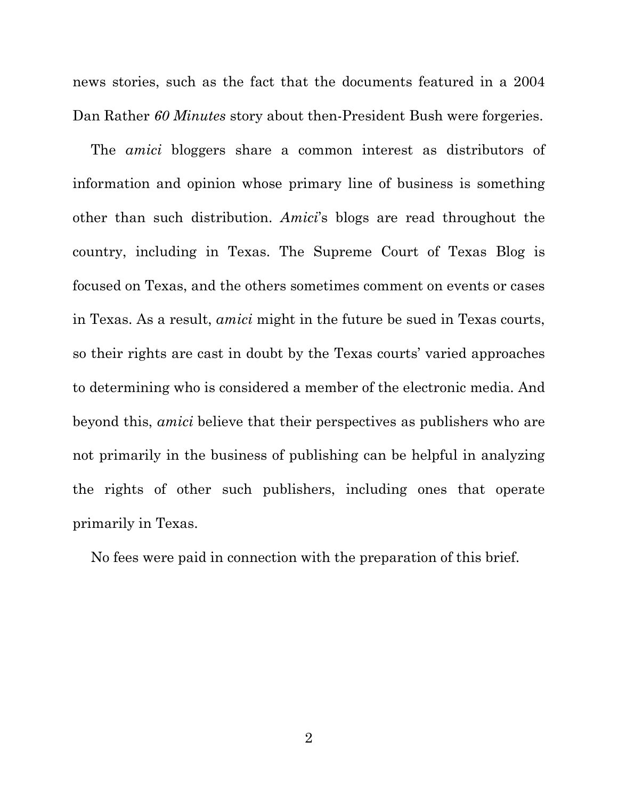news stories, such as the fact that the documents featured in a 2004 Dan Rather *60 Minutes* story about then-President Bush were forgeries.

The *amici* bloggers share a common interest as distributors of information and opinion whose primary line of business is something other than such distribution. *Amici*'s blogs are read throughout the country, including in Texas. The Supreme Court of Texas Blog is focused on Texas, and the others sometimes comment on events or cases in Texas. As a result, *amici* might in the future be sued in Texas courts, so their rights are cast in doubt by the Texas courts' varied approaches to determining who is considered a member of the electronic media. And beyond this, *amici* believe that their perspectives as publishers who are not primarily in the business of publishing can be helpful in analyzing the rights of other such publishers, including ones that operate primarily in Texas.

No fees were paid in connection with the preparation of this brief.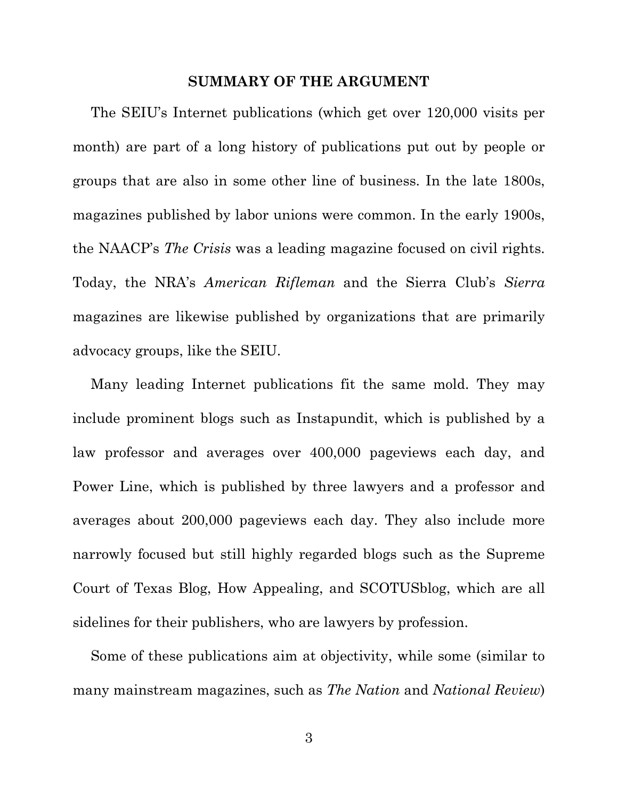#### **SUMMARY OF THE ARGUMENT**

The SEIU's Internet publications (which get over 120,000 visits per month) are part of a long history of publications put out by people or groups that are also in some other line of business. In the late 1800s, magazines published by labor unions were common. In the early 1900s, the NAACP's *The Crisis* was a leading magazine focused on civil rights. Today, the NRA's *American Rifleman* and the Sierra Club's *Sierra*  magazines are likewise published by organizations that are primarily advocacy groups, like the SEIU.

Many leading Internet publications fit the same mold. They may include prominent blogs such as Instapundit, which is published by a law professor and averages over 400,000 pageviews each day, and Power Line, which is published by three lawyers and a professor and averages about 200,000 pageviews each day. They also include more narrowly focused but still highly regarded blogs such as the Supreme Court of Texas Blog, How Appealing, and SCOTUSblog, which are all sidelines for their publishers, who are lawyers by profession.

Some of these publications aim at objectivity, while some (similar to many mainstream magazines, such as *The Nation* and *National Review*)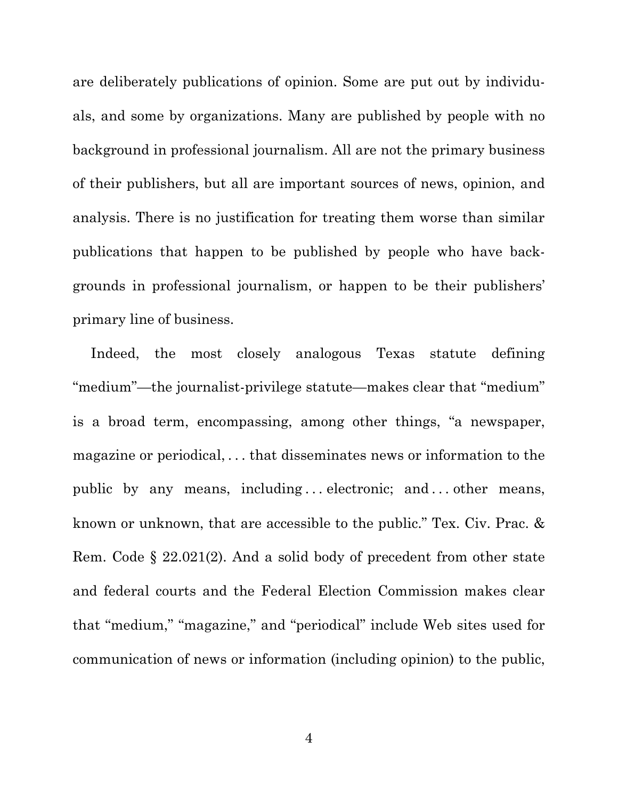are deliberately publications of opinion. Some are put out by individuals, and some by organizations. Many are published by people with no background in professional journalism. All are not the primary business of their publishers, but all are important sources of news, opinion, and analysis. There is no justification for treating them worse than similar publications that happen to be published by people who have backgrounds in professional journalism, or happen to be their publishers' primary line of business.

Indeed, the most closely analogous Texas statute defining "medium"—the journalist-privilege statute—makes clear that "medium" is a broad term, encompassing, among other things, "a newspaper, magazine or periodical, . . . that disseminates news or information to the public by any means, including ... electronic; and ... other means, known or unknown, that are accessible to the public." Tex. Civ. Prac. & Rem. Code § 22.021(2). And a solid body of precedent from other state and federal courts and the Federal Election Commission makes clear that "medium," "magazine," and "periodical" include Web sites used for communication of news or information (including opinion) to the public,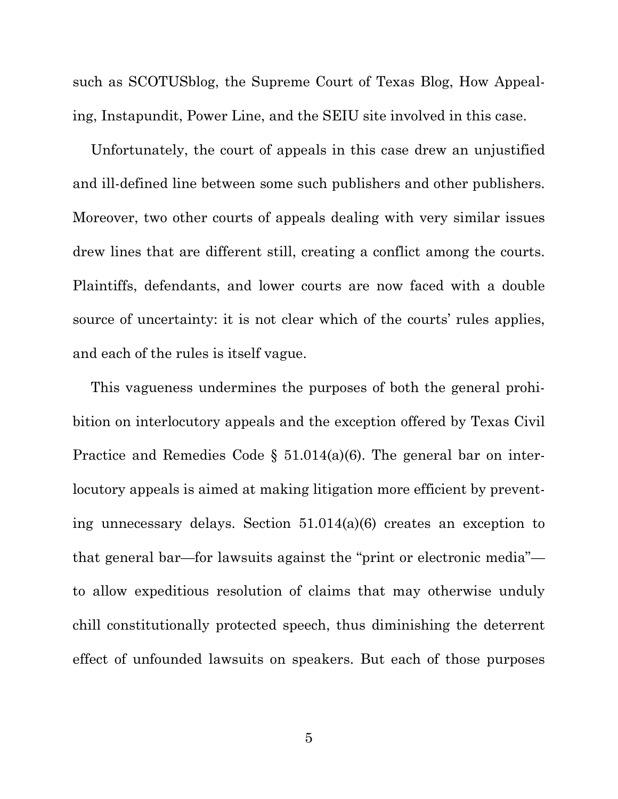such as SCOTUSblog, the Supreme Court of Texas Blog, How Appealing, Instapundit, Power Line, and the SEIU site involved in this case.

Unfortunately, the court of appeals in this case drew an unjustified and ill-defined line between some such publishers and other publishers. Moreover, two other courts of appeals dealing with very similar issues drew lines that are different still, creating a conflict among the courts. Plaintiffs, defendants, and lower courts are now faced with a double source of uncertainty: it is not clear which of the courts' rules applies, and each of the rules is itself vague.

This vagueness undermines the purposes of both the general prohibition on interlocutory appeals and the exception offered by Texas Civil Practice and Remedies Code  $\S$  51.014(a)(6). The general bar on interlocutory appeals is aimed at making litigation more efficient by preventing unnecessary delays. Section 51.014(a)(6) creates an exception to that general bar—for lawsuits against the "print or electronic media" to allow expeditious resolution of claims that may otherwise unduly chill constitutionally protected speech, thus diminishing the deterrent effect of unfounded lawsuits on speakers. But each of those purposes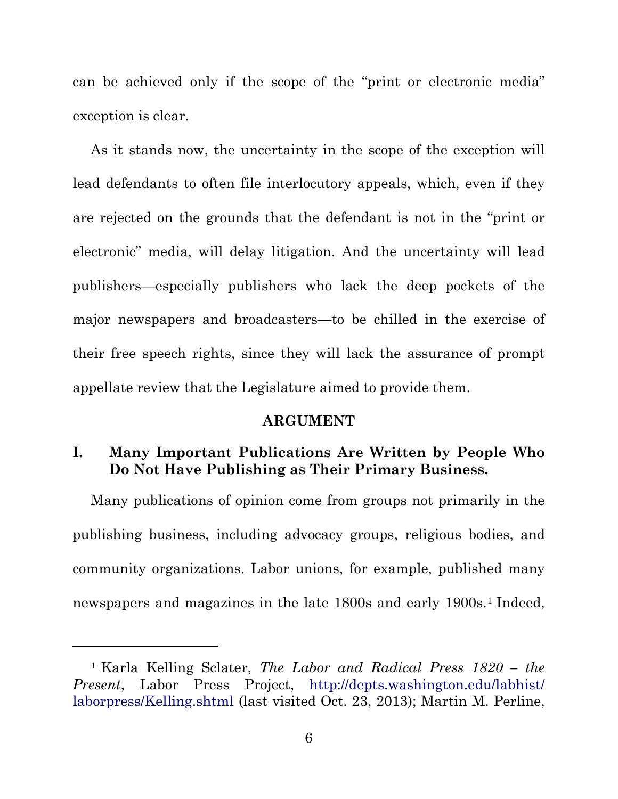can be achieved only if the scope of the "print or electronic media" exception is clear.

As it stands now, the uncertainty in the scope of the exception will lead defendants to often file interlocutory appeals, which, even if they are rejected on the grounds that the defendant is not in the "print or electronic" media, will delay litigation. And the uncertainty will lead publishers—especially publishers who lack the deep pockets of the major newspapers and broadcasters—to be chilled in the exercise of their free speech rights, since they will lack the assurance of prompt appellate review that the Legislature aimed to provide them.

#### **ARGUMENT**

### **I. Many Important Publications Are Written by People Who Do Not Have Publishing as Their Primary Business.**

Many publications of opinion come from groups not primarily in the publishing business, including advocacy groups, religious bodies, and community organizations. Labor unions, for example, published many newspapers and magazines in the late [1](#page-11-0)800s and early 1900s.<sup>1</sup> Indeed,

 $\overline{a}$ 

<span id="page-11-0"></span><sup>1</sup> Karla Kelling Sclater, *The Labor and Radical Press 1820 – the*  Present, Labor Press Project, http://depts.washington.edu/labhist/ laborpress/Kelling.shtml (last visited Oct. 23, 2013); Martin M. Perline,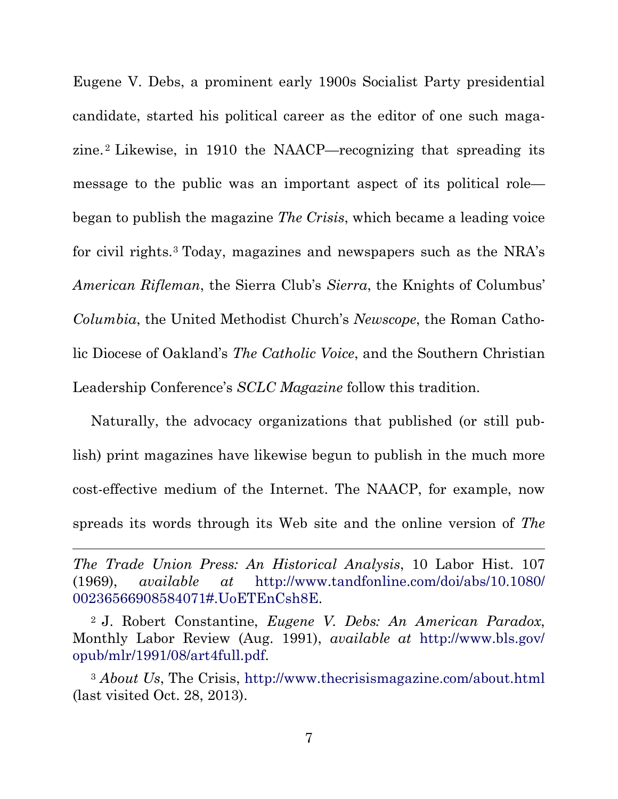Eugene V. Debs, a prominent early 1900s Socialist Party presidential candidate, started his political career as the editor of one such maga-zine.<sup>[2](#page-12-1)</sup> Likewise, in 1910 the NAACP—recognizing that spreading its message to the public was an important aspect of its political role began to publish the magazine *The Crisis*, which became a leading voice for civil rights.[3](#page-12-0) Today, magazines and newspapers such as the NRA's *American Rifleman*, the Sierra Club's *Sierra*, the Knights of Columbus' *Columbia*, the United Methodist Church's *Newscope*, the Roman Catholic Diocese of Oakland's *The Catholic Voice*, and the Southern Christian Leadership Conference's *SCLC Magazine* follow this tradition.

Naturally, the advocacy organizations that published (or still publish) print magazines have likewise begun to publish in the much more cost-effective medium of the Internet. The NAACP, for example, now spreads its words through its Web site and the online version of *The* 

*The Trade Union Press: An Historical Analysis*, 10 Labor Hist. 107 (1969), *available at* http://www.tandfonline.com/doi/abs/10.1080/ 00236566908584071#.UoETEnCsh8E.

 $\overline{a}$ 

<span id="page-12-1"></span><sup>2</sup> J. Robert Constantine, *Eugene V. Debs: An American Paradox*, Monthly Labor Review (Aug. 1991), *available at* http://www.bls.gov/ opub/mlr/1991/08/art4full.pdf.

<span id="page-12-0"></span><sup>3</sup> *About Us*, The Crisis, http://www.thecrisismagazine.com/about.html (last visited Oct. 28, 2013).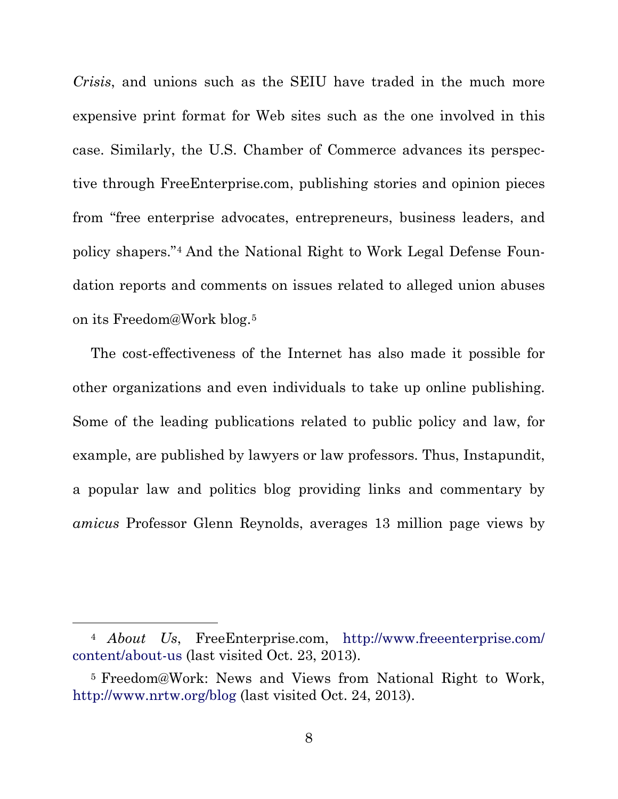*Crisis*, and unions such as the SEIU have traded in the much more expensive print format for Web sites such as the one involved in this case. Similarly, the U.S. Chamber of Commerce advances its perspective through FreeEnterprise.com, publishing stories and opinion pieces from "free enterprise advocates, entrepreneurs, business leaders, and policy shapers."[4](#page-13-1) And the National Right to Work Legal Defense Foundation reports and comments on issues related to alleged union abuses on its Freedom@Work blog.[5](#page-13-0)

The cost-effectiveness of the Internet has also made it possible for other organizations and even individuals to take up online publishing. Some of the leading publications related to public policy and law, for example, are published by lawyers or law professors. Thus, Instapundit, a popular law and politics blog providing links and commentary by *amicus* Professor Glenn Reynolds, averages 13 million page views by

<span id="page-13-1"></span> <sup>4</sup> *About Us*, FreeEnterprise.com, http://www.freeenterprise.com/ content/about-us (last visited Oct. 23, 2013).

<span id="page-13-0"></span><sup>5</sup> Freedom@Work: News and Views from National Right to Work, http://www.nrtw.org/blog (last visited Oct. 24, 2013).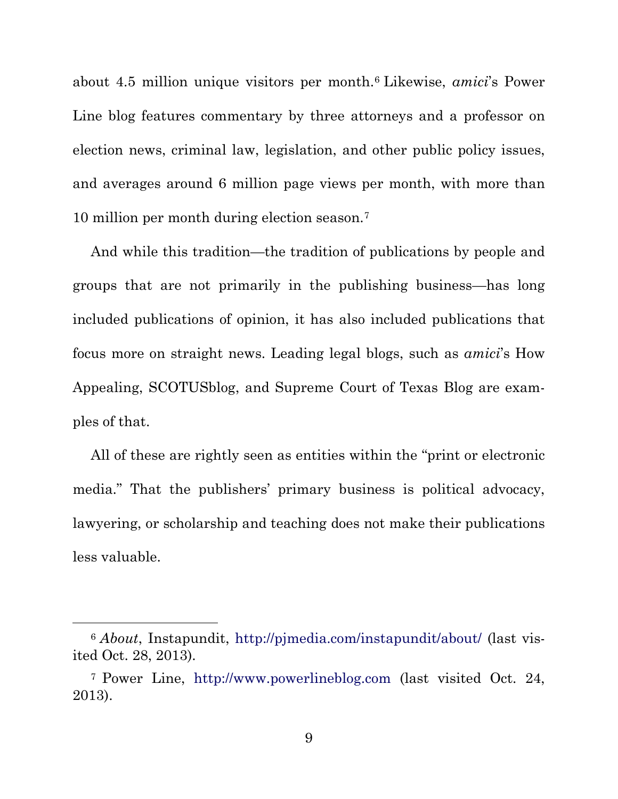about 4.5 million unique visitors per month.[6](#page-14-1) Likewise, *amici*'s Power Line blog features commentary by three attorneys and a professor on election news, criminal law, legislation, and other public policy issues, and averages around 6 million page views per month, with more than 10 million per month during election season.[7](#page-14-0)

And while this tradition—the tradition of publications by people and groups that are not primarily in the publishing business—has long included publications of opinion, it has also included publications that focus more on straight news. Leading legal blogs, such as *amici*'s How Appealing, SCOTUSblog, and Supreme Court of Texas Blog are examples of that.

All of these are rightly seen as entities within the "print or electronic media." That the publishers' primary business is political advocacy, lawyering, or scholarship and teaching does not make their publications less valuable.

<span id="page-14-1"></span> <sup>6</sup> *About*, Instapundit, http://pjmedia.com/instapundit/about/ (last visited Oct. 28, 2013).

<span id="page-14-0"></span><sup>7</sup> Power Line, http://www.powerlineblog.com (last visited Oct. 24, 2013).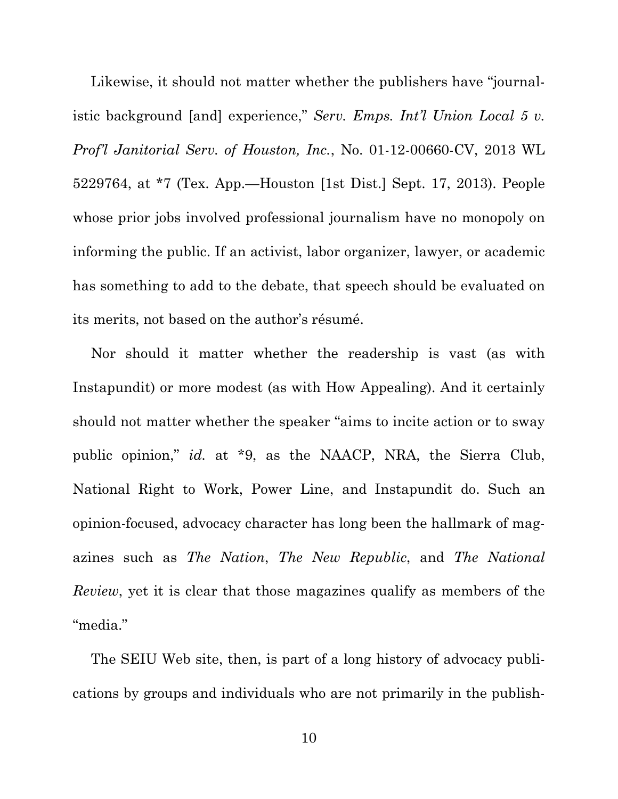Likewise, it should not matter whether the publishers have "journalistic background [and] experience," *Serv. Emps. Int'l Union Local 5 v. Prof'l Janitorial Serv. of Houston, Inc.*, No. 01-12-00660-CV, 2013 WL 5229764, at \*7 (Tex. App.—Houston [1st Dist.] Sept. 17, 2013). People whose prior jobs involved professional journalism have no monopoly on informing the public. If an activist, labor organizer, lawyer, or academic has something to add to the debate, that speech should be evaluated on its merits, not based on the author's résumé.

Nor should it matter whether the readership is vast (as with Instapundit) or more modest (as with How Appealing). And it certainly should not matter whether the speaker "aims to incite action or to sway public opinion," *id.* at \*9, as the NAACP, NRA, the Sierra Club, National Right to Work, Power Line, and Instapundit do. Such an opinion-focused, advocacy character has long been the hallmark of magazines such as *The Nation*, *The New Republic*, and *The National Review*, yet it is clear that those magazines qualify as members of the "media."

The SEIU Web site, then, is part of a long history of advocacy publications by groups and individuals who are not primarily in the publish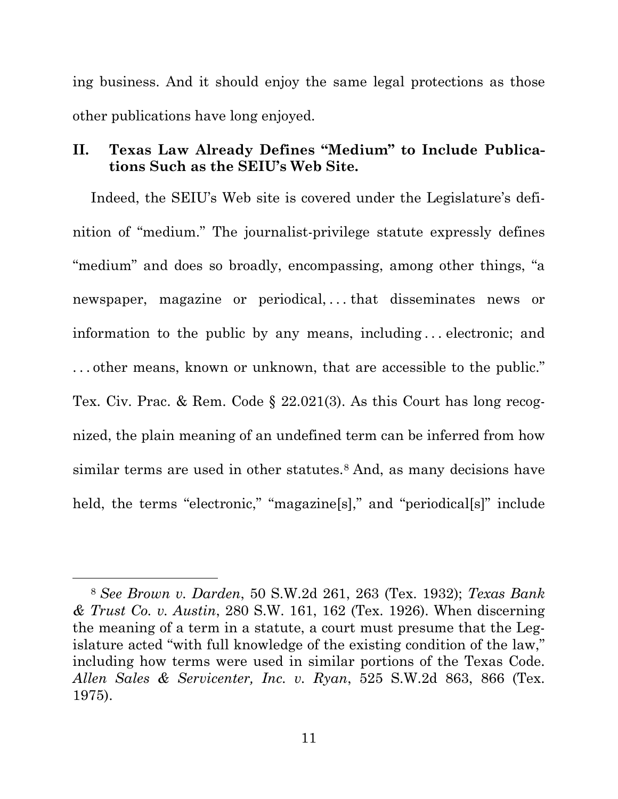ing business. And it should enjoy the same legal protections as those other publications have long enjoyed.

### **II. Texas Law Already Defines "Medium" to Include Publications Such as the SEIU's Web Site.**

Indeed, the SEIU's Web site is covered under the Legislature's definition of "medium." The journalist-privilege statute expressly defines "medium" and does so broadly, encompassing, among other things, "a newspaper, magazine or periodical,...that disseminates news or information to the public by any means, including . . . electronic; and . . . other means, known or unknown, that are accessible to the public." Tex. Civ. Prac. & Rem. Code § 22.021(3). As this Court has long recognized, the plain meaning of an undefined term can be inferred from how similar terms are used in other statutes.<sup>[8](#page-16-0)</sup> And, as many decisions have held, the terms "electronic," "magazine[s]," and "periodical[s]" include

<span id="page-16-0"></span> <sup>8</sup> *See Brown v. Darden*, 50 S.W.2d 261, 263 (Tex. 1932); *Texas Bank & Trust Co. v. Austin*, 280 S.W. 161, 162 (Tex. 1926). When discerning the meaning of a term in a statute, a court must presume that the Legislature acted "with full knowledge of the existing condition of the law," including how terms were used in similar portions of the Texas Code. *Allen Sales & Servicenter, Inc. v. Ryan*, 525 S.W.2d 863, 866 (Tex. 1975).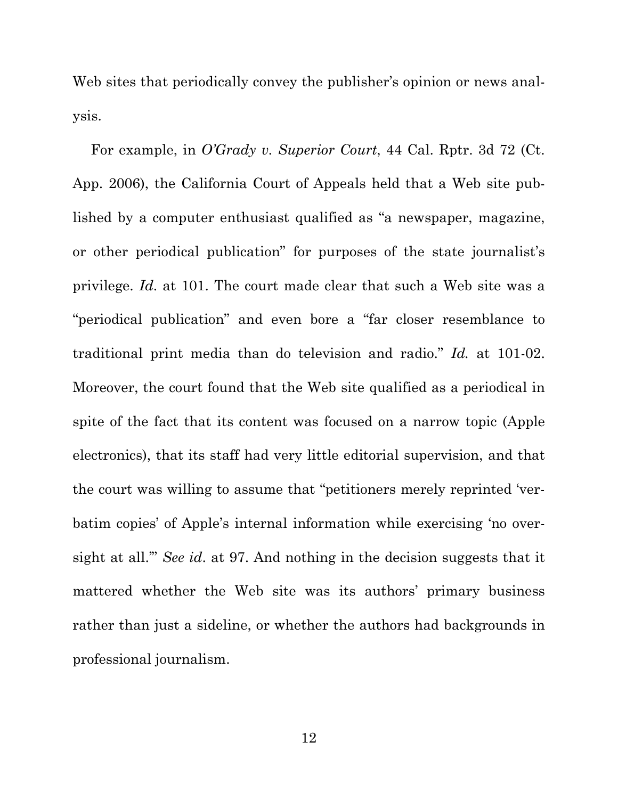Web sites that periodically convey the publisher's opinion or news analysis.

For example, in *O'Grady v. Superior Court*, 44 Cal. Rptr. 3d 72 (Ct. App. 2006), the California Court of Appeals held that a Web site published by a computer enthusiast qualified as "a newspaper, magazine, or other periodical publication" for purposes of the state journalist's privilege. *Id*. at 101. The court made clear that such a Web site was a "periodical publication" and even bore a "far closer resemblance to traditional print media than do television and radio." *Id.* at 101-02. Moreover, the court found that the Web site qualified as a periodical in spite of the fact that its content was focused on a narrow topic (Apple electronics), that its staff had very little editorial supervision, and that the court was willing to assume that "petitioners merely reprinted 'verbatim copies' of Apple's internal information while exercising 'no oversight at all.'" *See id*. at 97. And nothing in the decision suggests that it mattered whether the Web site was its authors' primary business rather than just a sideline, or whether the authors had backgrounds in professional journalism.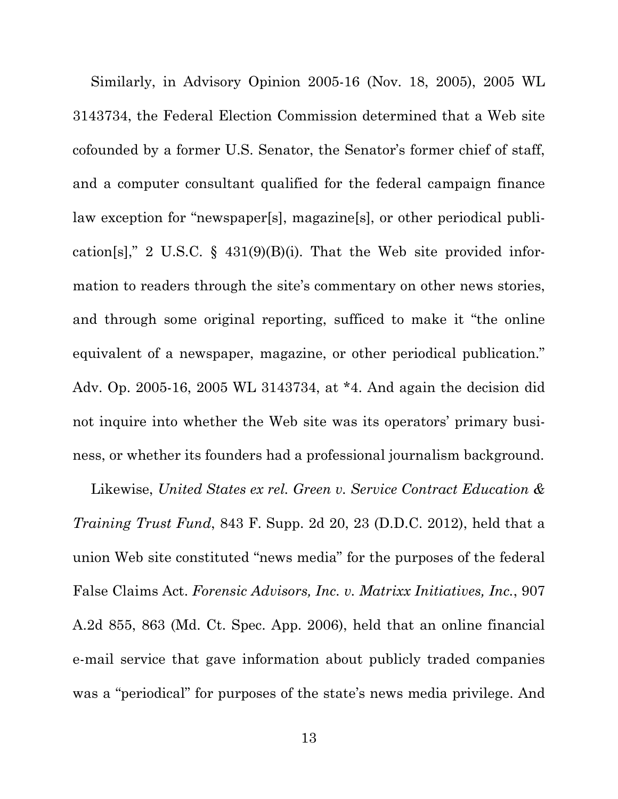Similarly, in Advisory Opinion 2005-16 (Nov. 18, 2005), 2005 WL 3143734, the Federal Election Commission determined that a Web site cofounded by a former U.S. Senator, the Senator's former chief of staff, and a computer consultant qualified for the federal campaign finance law exception for "newspaper[s], magazine[s], or other periodical publication[s]," 2 U.S.C. § 431(9)(B)(i). That the Web site provided information to readers through the site's commentary on other news stories, and through some original reporting, sufficed to make it "the online equivalent of a newspaper, magazine, or other periodical publication." Adv. Op. 2005-16, 2005 WL 3143734, at \*4. And again the decision did not inquire into whether the Web site was its operators' primary business, or whether its founders had a professional journalism background.

Likewise, *United States ex rel. Green v. Service Contract Education & Training Trust Fund*, 843 F. Supp. 2d 20, 23 (D.D.C. 2012), held that a union Web site constituted "news media" for the purposes of the federal False Claims Act. *Forensic Advisors, Inc. v. Matrixx Initiatives, Inc.*, 907 A.2d 855, 863 (Md. Ct. Spec. App. 2006), held that an online financial e-mail service that gave information about publicly traded companies was a "periodical" for purposes of the state's news media privilege. And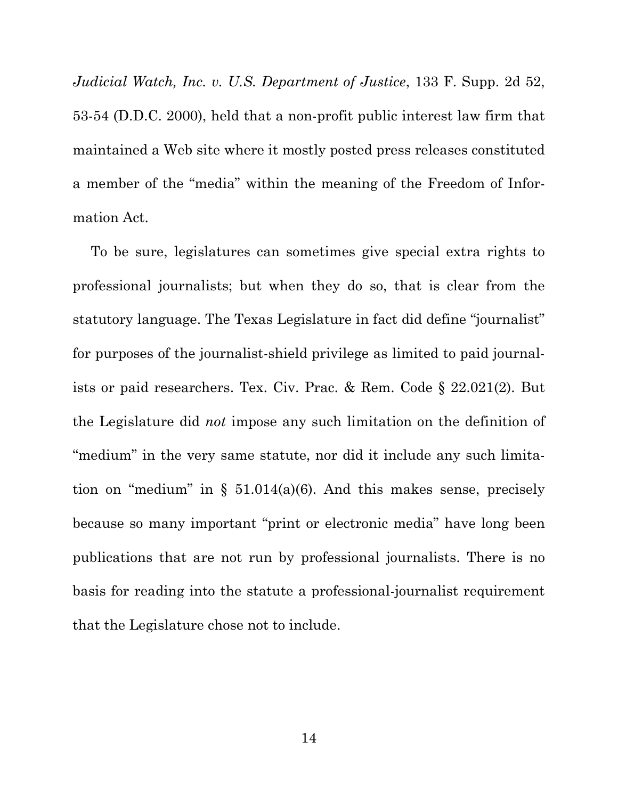*Judicial Watch, Inc. v. U.S. Department of Justice*, 133 F. Supp. 2d 52, 53-54 (D.D.C. 2000), held that a non-profit public interest law firm that maintained a Web site where it mostly posted press releases constituted a member of the "media" within the meaning of the Freedom of Information Act.

To be sure, legislatures can sometimes give special extra rights to professional journalists; but when they do so, that is clear from the statutory language. The Texas Legislature in fact did define "journalist" for purposes of the journalist-shield privilege as limited to paid journalists or paid researchers. Tex. Civ. Prac. & Rem. Code § 22.021(2). But the Legislature did *not* impose any such limitation on the definition of "medium" in the very same statute, nor did it include any such limitation on "medium" in  $\S$  51.014(a)(6). And this makes sense, precisely because so many important "print or electronic media" have long been publications that are not run by professional journalists. There is no basis for reading into the statute a professional-journalist requirement that the Legislature chose not to include.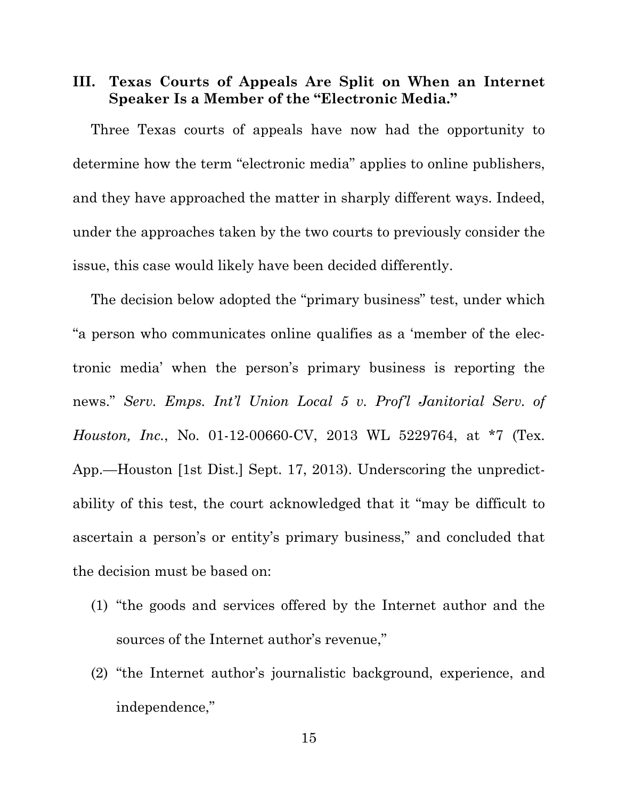# **III. Texas Courts of Appeals Are Split on When an Internet Speaker Is a Member of the "Electronic Media."**

Three Texas courts of appeals have now had the opportunity to determine how the term "electronic media" applies to online publishers, and they have approached the matter in sharply different ways. Indeed, under the approaches taken by the two courts to previously consider the issue, this case would likely have been decided differently.

The decision below adopted the "primary business" test, under which "a person who communicates online qualifies as a 'member of the electronic media' when the person's primary business is reporting the news." *Serv. Emps. Int'l Union Local 5 v. Prof'l Janitorial Serv. of Houston, Inc.*, No. 01-12-00660-CV, 2013 WL 5229764, at \*7 (Tex. App.—Houston [1st Dist.] Sept. 17, 2013). Underscoring the unpredictability of this test, the court acknowledged that it "may be difficult to ascertain a person's or entity's primary business," and concluded that the decision must be based on:

- (1) "the goods and services offered by the Internet author and the sources of the Internet author's revenue,"
- (2) "the Internet author's journalistic background, experience, and independence,"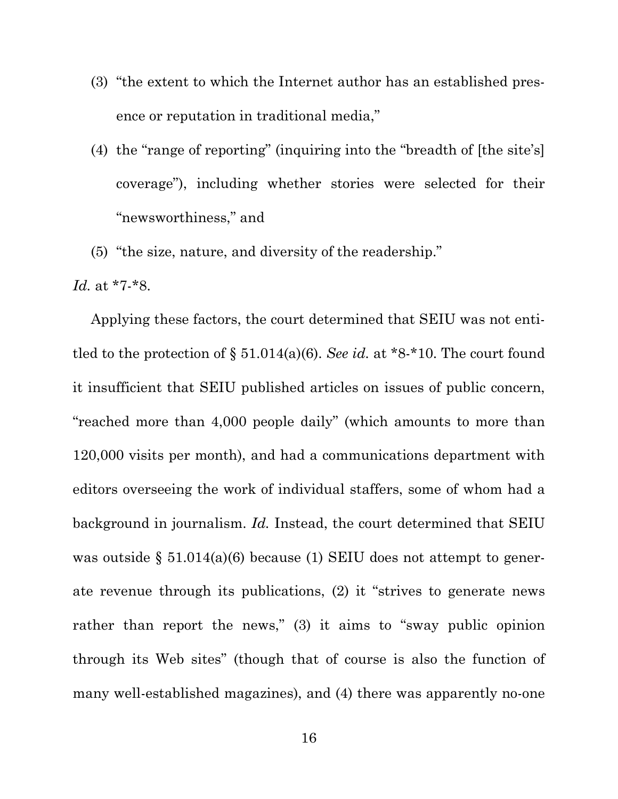- (3) "the extent to which the Internet author has an established presence or reputation in traditional media,"
- (4) the "range of reporting" (inquiring into the "breadth of [the site's] coverage"), including whether stories were selected for their "newsworthiness," and
- (5) "the size, nature, and diversity of the readership."

*Id.* at \*7-\*8.

Applying these factors, the court determined that SEIU was not entitled to the protection of  $\S 51.014(a)(6)$ . *See id.* at \*8-\*10. The court found it insufficient that SEIU published articles on issues of public concern, "reached more than 4,000 people daily" (which amounts to more than 120,000 visits per month), and had a communications department with editors overseeing the work of individual staffers, some of whom had a background in journalism. *Id.* Instead, the court determined that SEIU was outside  $\S 51.014(a)(6)$  because (1) SEIU does not attempt to generate revenue through its publications, (2) it "strives to generate news rather than report the news," (3) it aims to "sway public opinion through its Web sites" (though that of course is also the function of many well-established magazines), and (4) there was apparently no-one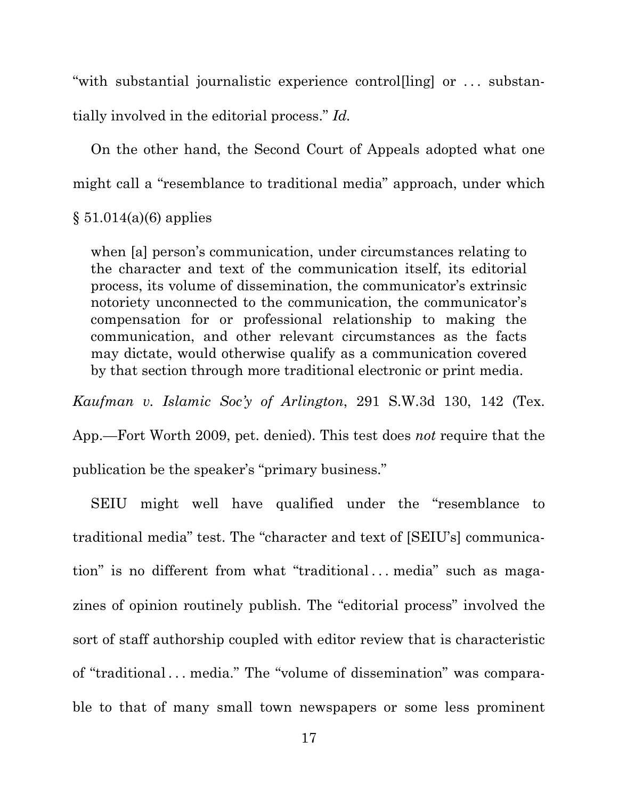"with substantial journalistic experience controlling or ... substantially involved in the editorial process." *Id.*

On the other hand, the Second Court of Appeals adopted what one might call a "resemblance to traditional media" approach, under which

 $§ 51.014(a)(6)$  applies

when [a] person's communication, under circumstances relating to the character and text of the communication itself, its editorial process, its volume of dissemination, the communicator's extrinsic notoriety unconnected to the communication, the communicator's compensation for or professional relationship to making the communication, and other relevant circumstances as the facts may dictate, would otherwise qualify as a communication covered by that section through more traditional electronic or print media.

*Kaufman v. Islamic Soc'y of Arlington*, 291 S.W.3d 130, 142 (Tex.

App.—Fort Worth 2009, pet. denied). This test does *not* require that the publication be the speaker's "primary business."

SEIU might well have qualified under the "resemblance to traditional media" test. The "character and text of [SEIU's] communication" is no different from what "traditional... media" such as magazines of opinion routinely publish. The "editorial process" involved the sort of staff authorship coupled with editor review that is characteristic of "traditional . . . media." The "volume of dissemination" was comparable to that of many small town newspapers or some less prominent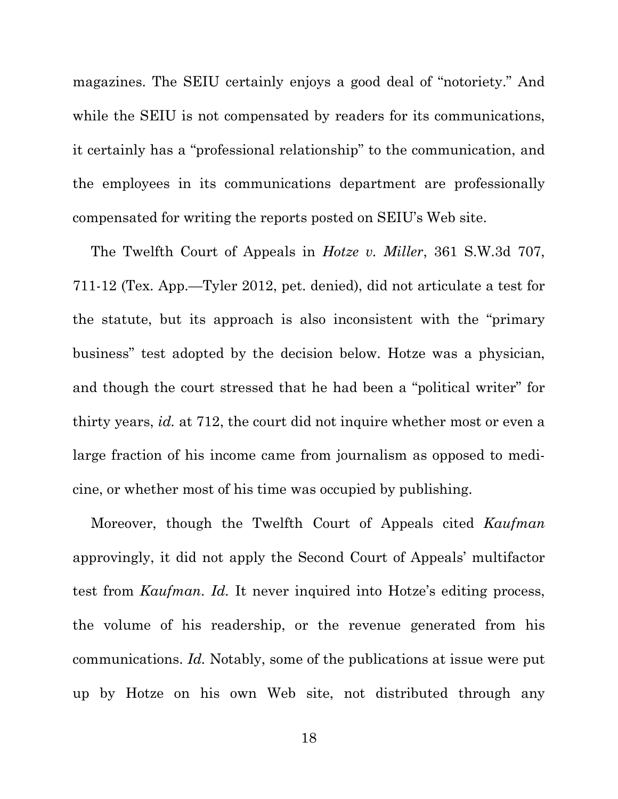magazines. The SEIU certainly enjoys a good deal of "notoriety." And while the SEIU is not compensated by readers for its communications, it certainly has a "professional relationship" to the communication, and the employees in its communications department are professionally compensated for writing the reports posted on SEIU's Web site.

The Twelfth Court of Appeals in *Hotze v. Miller*, 361 S.W.3d 707, 711-12 (Tex. App.—Tyler 2012, pet. denied), did not articulate a test for the statute, but its approach is also inconsistent with the "primary business" test adopted by the decision below. Hotze was a physician, and though the court stressed that he had been a "political writer" for thirty years, *id.* at 712, the court did not inquire whether most or even a large fraction of his income came from journalism as opposed to medicine, or whether most of his time was occupied by publishing.

Moreover, though the Twelfth Court of Appeals cited *Kaufman* approvingly, it did not apply the Second Court of Appeals' multifactor test from *Kaufman*. *Id.* It never inquired into Hotze's editing process, the volume of his readership, or the revenue generated from his communications. *Id.* Notably, some of the publications at issue were put up by Hotze on his own Web site, not distributed through any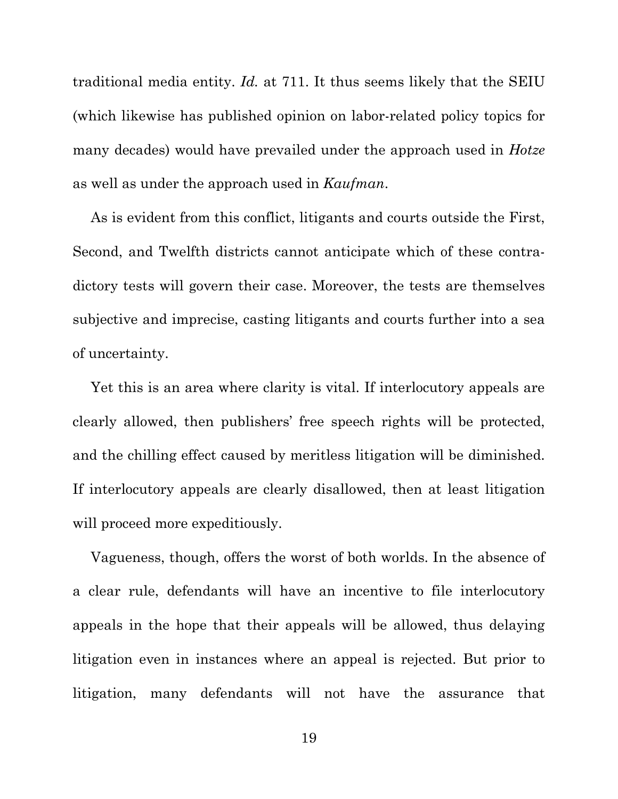traditional media entity. *Id.* at 711. It thus seems likely that the SEIU (which likewise has published opinion on labor-related policy topics for many decades) would have prevailed under the approach used in *Hotze* as well as under the approach used in *Kaufman*.

As is evident from this conflict, litigants and courts outside the First, Second, and Twelfth districts cannot anticipate which of these contradictory tests will govern their case. Moreover, the tests are themselves subjective and imprecise, casting litigants and courts further into a sea of uncertainty.

Yet this is an area where clarity is vital. If interlocutory appeals are clearly allowed, then publishers' free speech rights will be protected, and the chilling effect caused by meritless litigation will be diminished. If interlocutory appeals are clearly disallowed, then at least litigation will proceed more expeditiously.

Vagueness, though, offers the worst of both worlds. In the absence of a clear rule, defendants will have an incentive to file interlocutory appeals in the hope that their appeals will be allowed, thus delaying litigation even in instances where an appeal is rejected. But prior to litigation, many defendants will not have the assurance that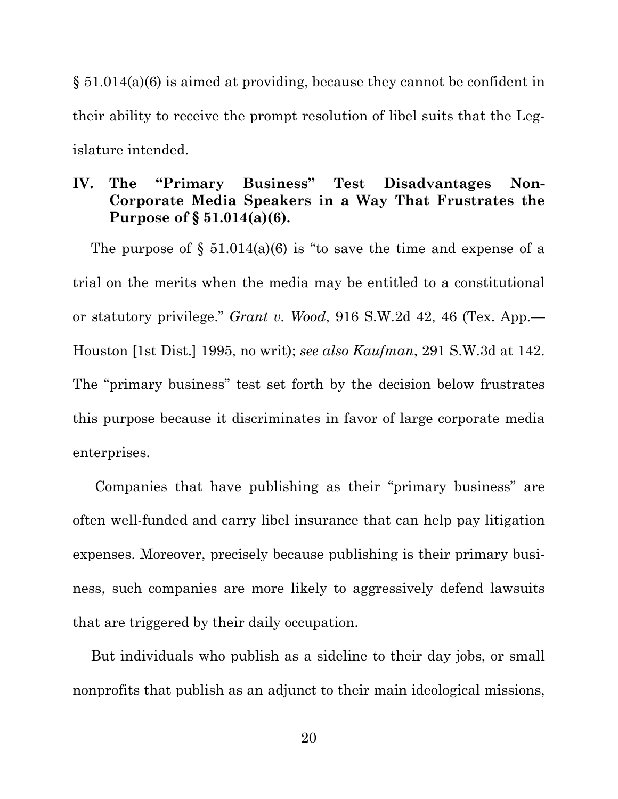§ 51.014(a)(6) is aimed at providing, because they cannot be confident in their ability to receive the prompt resolution of libel suits that the Legislature intended.

### **IV. The "Primary Business" Test Disadvantages Non-Corporate Media Speakers in a Way That Frustrates the Purpose of § 51.014(a)(6).**

The purpose of  $\S$  51.014(a)(6) is "to save the time and expense of a trial on the merits when the media may be entitled to a constitutional or statutory privilege." *Grant v. Wood*, 916 S.W.2d 42, 46 (Tex. App.— Houston [1st Dist.] 1995, no writ); *see also Kaufman*, 291 S.W.3d at 142. The "primary business" test set forth by the decision below frustrates this purpose because it discriminates in favor of large corporate media enterprises.

Companies that have publishing as their "primary business" are often well-funded and carry libel insurance that can help pay litigation expenses. Moreover, precisely because publishing is their primary business, such companies are more likely to aggressively defend lawsuits that are triggered by their daily occupation.

But individuals who publish as a sideline to their day jobs, or small nonprofits that publish as an adjunct to their main ideological missions,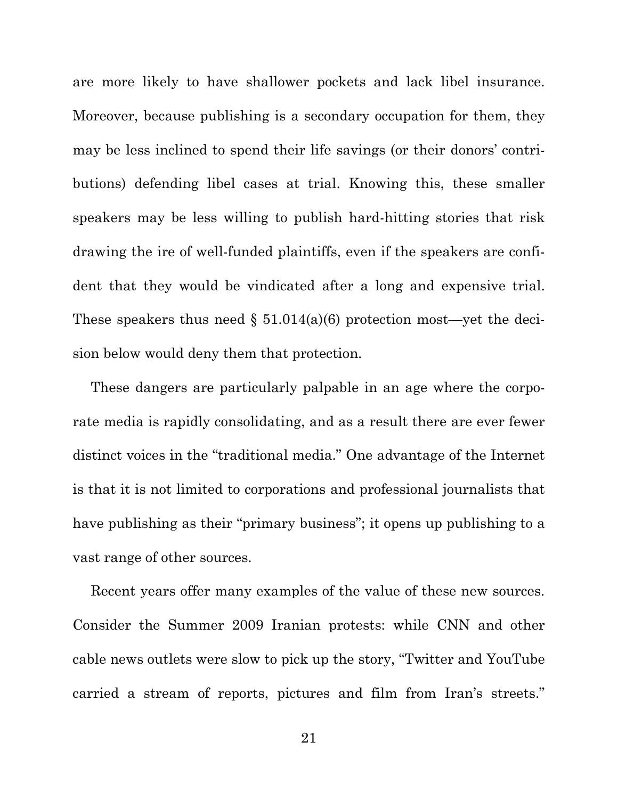are more likely to have shallower pockets and lack libel insurance. Moreover, because publishing is a secondary occupation for them, they may be less inclined to spend their life savings (or their donors' contributions) defending libel cases at trial. Knowing this, these smaller speakers may be less willing to publish hard-hitting stories that risk drawing the ire of well-funded plaintiffs, even if the speakers are confident that they would be vindicated after a long and expensive trial. These speakers thus need  $\S 51.014(a)(6)$  protection most—yet the decision below would deny them that protection.

These dangers are particularly palpable in an age where the corporate media is rapidly consolidating, and as a result there are ever fewer distinct voices in the "traditional media." One advantage of the Internet is that it is not limited to corporations and professional journalists that have publishing as their "primary business"; it opens up publishing to a vast range of other sources.

Recent years offer many examples of the value of these new sources. Consider the Summer 2009 Iranian protests: while CNN and other cable news outlets were slow to pick up the story, "Twitter and YouTube carried a stream of reports, pictures and film from Iran's streets."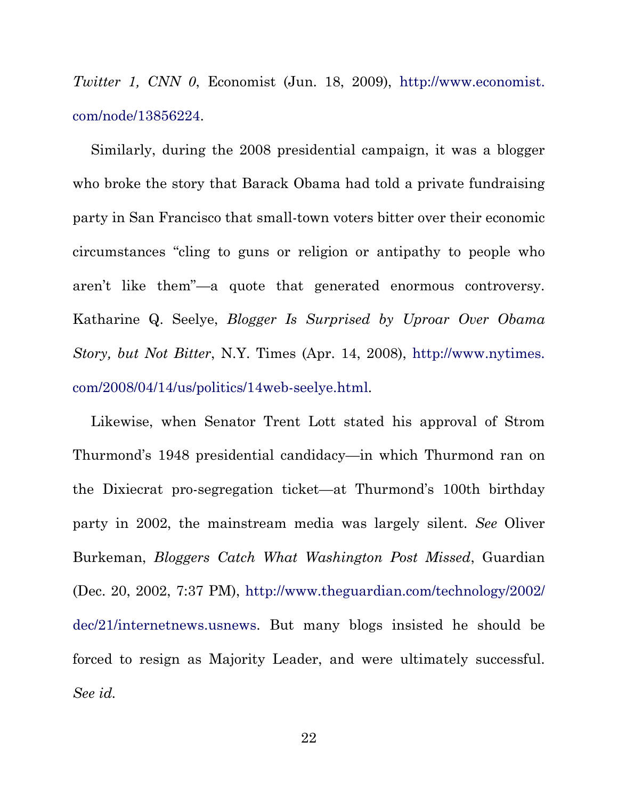*Twitter 1, CNN 0*, Economist (Jun. 18, 2009), http://www.economist. com/node/13856224.

Similarly, during the 2008 presidential campaign, it was a blogger who broke the story that Barack Obama had told a private fundraising party in San Francisco that small-town voters bitter over their economic circumstances "cling to guns or religion or antipathy to people who aren't like them"—a quote that generated enormous controversy. Katharine Q. Seelye, *Blogger Is Surprised by Uproar Over Obama Story, but Not Bitter*, N.Y. Times (Apr. 14, 2008), http://www.nytimes. com/2008/04/14/us/politics/14web-seelye.html.

Likewise, when Senator Trent Lott stated his approval of Strom Thurmond's 1948 presidential candidacy—in which Thurmond ran on the Dixiecrat pro-segregation ticket—at Thurmond's 100th birthday party in 2002, the mainstream media was largely silent. *See* Oliver Burkeman, *Bloggers Catch What Washington Post Missed*, Guardian (Dec. 20, 2002, 7:37 PM), http://www.theguardian.com/technology/2002/ dec/21/internetnews.usnews. But many blogs insisted he should be forced to resign as Majority Leader, and were ultimately successful. *See id.*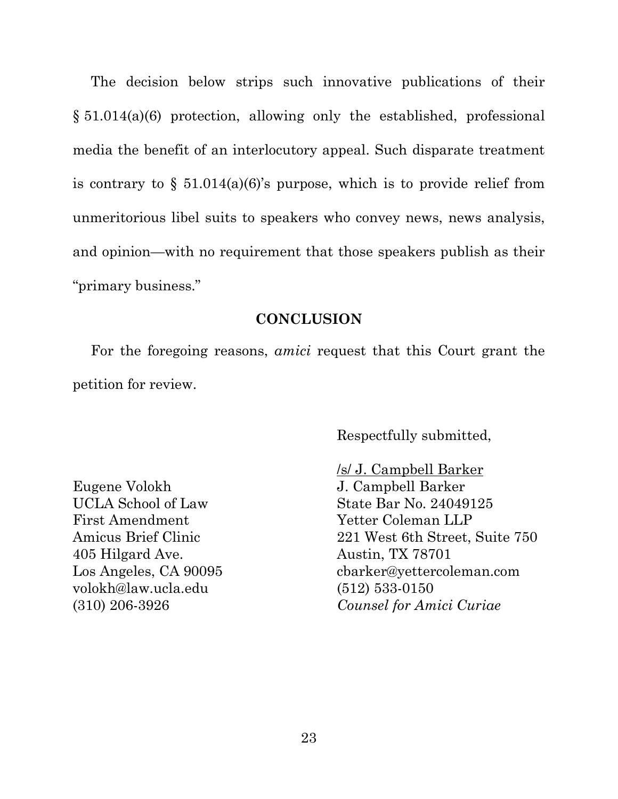The decision below strips such innovative publications of their § 51.014(a)(6) protection, allowing only the established, professional media the benefit of an interlocutory appeal. Such disparate treatment is contrary to  $\S$  51.014(a)(6)'s purpose, which is to provide relief from unmeritorious libel suits to speakers who convey news, news analysis, and opinion—with no requirement that those speakers publish as their "primary business."

#### **CONCLUSION**

For the foregoing reasons, *amici* request that this Court grant the petition for review.

Respectfully submitted,

Eugene Volokh UCLA School of Law First Amendment Amicus Brief Clinic 405 Hilgard Ave. Los Angeles, CA 90095 volokh@law.ucla.edu (310) 206-3926

/s/ J. Campbell Barker J. Campbell Barker State Bar No. 24049125 Yetter Coleman LLP 221 West 6th Street, Suite 750 Austin, TX 78701 cbarker@yettercoleman.com (512) 533-0150 *Counsel for Amici Curiae*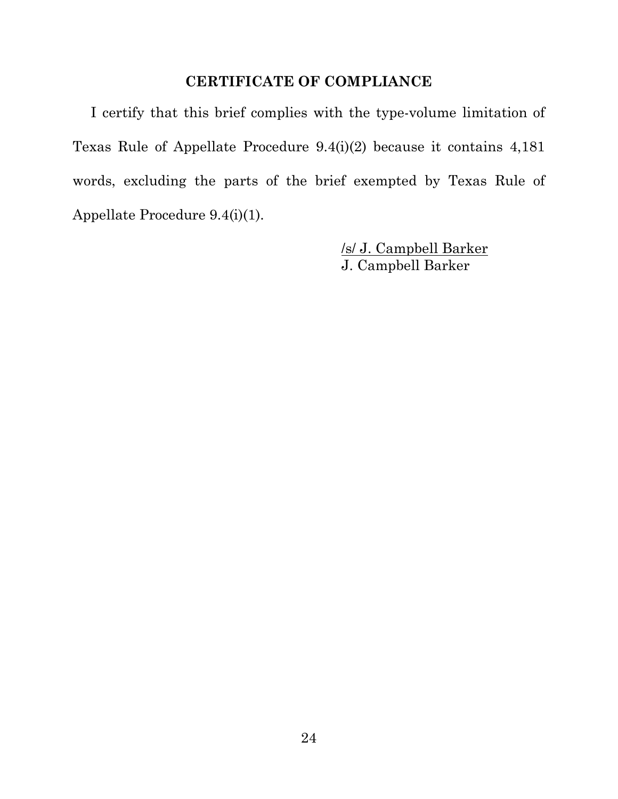### **CERTIFICATE OF COMPLIANCE**

I certify that this brief complies with the type-volume limitation of Texas Rule of Appellate Procedure 9.4(i)(2) because it contains 4,181 words, excluding the parts of the brief exempted by Texas Rule of Appellate Procedure 9.4(i)(1).

> /s/ J. Campbell Barker J. Campbell Barker